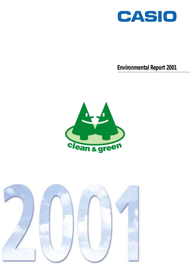

**Environmental Report 2001**



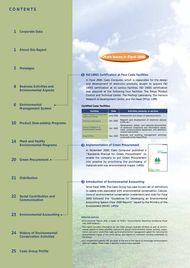# **CONTENTS**

- **Corporate Data 1**
- **About this Report 1**
- **Messages 2**
- **Business Activities and Environmental Aspects 4**
- **Environmental Management System 6**
- **Product Stewardship Programs 10**
- **Plant and Facility 14 Environmental Programs**
- **Green Procurement 20**
- **Distribution 21**
- **Social Contribution and Communication 22**
- **Environmental Accounting 23**
- **24** History of Environmental **Conservation Activities**

# **Main Issues in Fiscal 2000**

#### **1** ISO14001 Certification at Four Casio Facilities

In fiscal 2000, Casio Computer, which is responsible for the design and development of electronic products, sought to acquire ISO 14001 certification at its various facilities. ISO 14001 certification was acquired at the following four facilities: The Tokyo Product Control and Technical Center, The Hachioji Laboratory, The Hamura Research & Development Center, and the Head Office. (>**P9**)

#### **Certified Casio Facilities**

| <b>Facilities</b>                                           | Date      | Activities, products, or services                                                                                                                                          |
|-------------------------------------------------------------|-----------|----------------------------------------------------------------------------------------------------------------------------------------------------------------------------|
| <b>Tokyo Product Control and</b><br><b>Technical Center</b> | June 2000 | Development and design of systems products                                                                                                                                 |
| Hachioji Laboratory                                         | Oct. 2000 | Research and development of electronic devices<br>(LCDs, etc.)                                                                                                             |
| Hamura Research &<br><b>Development Center</b>              | Oct. 2000 | Development, design, and materials procurement<br>of electronic timepieces and information equip-<br>ment, communications equipment, and electronic<br>musical instruments |
| <b>Head Office</b>                                          | Dec. 2000 | Business and building management activities<br>conducted at the Head Office                                                                                                |

#### 2 Implementation of Green Procurement

In November 2000, Casio Computer published a "Standards Manual for Green Procurement" to enable the company to put Green Procurement into practice by prioritizing the purchasing of materials with low environmental impact. (>**P20**)



#### **3** Introduction of Environmental Accounting

Since fiscal 1999, The Casio Group has used its own set of definitions to assess costs associated with environmental conservation. Calculations of environmental conservation investments and costs for fiscal 2000 followed the "Guidelines for Developing an Environmental Accounting System (Year 2000 Report)" issued by the Ministry of the Environment (MOE). (>**P23**)

#### **Editorial policies**

•Environmental Report 2001 is based on MOE's "Environmental Reporting Guidelines (Fiscal Year 2000 Version)."

•This report provides information on the Casio Group's business activities as well as environmental aspects of these activities, outlines the group's environmental charter, policies, organization, and action plans that make up its environmental management system for reducing the environmental impact of the entire group, and reports on individual activities undertaken by the Group.

•Our contacts and website URL are given at the end of the report to encourage communication with our readers. There is also a separate questionnaire available

**Casio Group Profile 25**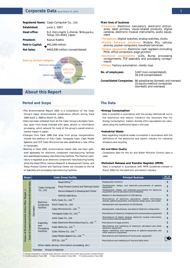# **Corporate Data** (as of March 31, 2001)

**Registered Name:**  Casio Computer Co., Ltd.

| June 1, 1957                                                 |
|--------------------------------------------------------------|
| 6-2, Hon-machi 1-chome, Shibuya-ku,<br>Tokyo 151-8543, Japan |
| Kazuo Kashio                                                 |
| ¥41,549 million                                              |
| ¥443,930 million (consolidated)                              |
|                                                              |



# **About this Report**

# **Period and Scope**

- •The Environmental Report 2001 is a compilation of the Casio Group's major environmental conservation efforts during fiscal 2000 (April 1, 2000 to March 31, 2001).
- •Data has been collected from all the Casio Group's domestic facilities, apart from those involved with sales, service, or information processing, which account for most of the group's overall environmental impact in Japan.
- •Changes from fiscal 1999 that arise from group reorganization include the addition of Kofu Casio, Yamagata Casio, Casio Media Systems, and CCP. Casio Micronics has also established a new office in Yamanashi.
- •Starting in fiscal 2000, environmental impact data has been gathered separately for electronic component manufacturing facilities and assembly/processing manufacturing facilities. The Hachioji Laboratory is regarded as an electronic component manufacturing facility while the Head Office, Hamura Research & Development Center, and Tokyo Product Control and Technical Center are included on the list of assembly and processing manufacturing facilities.

#### **Main lines of business**

- **•Consumer:** Electronic calculators, electronic dictionaries, label printers, visual-related products, digital cameras, electronic musical instruments, audio equipment
- **•Timepieces:** Digital watches, analog watches, clocks
- •**Mobile Network Solutions:** Mobile PCs, cellular phones, pocket computers, handheld terminals
- •**System equipment:** Electronic cash registers (including POS), office computers, page printers
- **•Electronic components:** LCDs, Bump processing consignments, TCP assembly and processing consignments
- **•Others:** Factory automation, molds, toys

**No. of employees:**

3,407 (non-consolidated), 18,119 (consolidated)

**Consolidated Companies:** 66 subsidiaries (domestic and overseas) 10 equity-method companies (domestic and overseas)

# **The Data**

#### **•Energy Consumption**

 Data is compiled in accordance with the survey methods set out in the electronics and electric industry's the Voluntary Plan for Energy Consumption. Carbon dioxide (CO2) equivalents are calculated using the coefficients listed in the plan.

#### **•Industrial Waste**

 Data regarding industrial waste is compiled in accordance with the definitions of the electronics and electric industry for industrial emissions and recycling.

#### **•Air and Water Quality**

 Compliance data for the Air and Water Pollution Control Laws is used.

#### **•Pollutant Release and Transfer Register (PRTR)**

 Data is compiled in accordance with PRTR Guidelines (revised in March 2001) for the electronic and electric industry.

|                                                                                  | Scope | <b>Casio Group Facility</b> |                                                    |  |                                                        | <b>Principal Business</b>                                                                                                      | No. of<br><b>Facilities</b>                                                               |   |
|----------------------------------------------------------------------------------|-------|-----------------------------|----------------------------------------------------|--|--------------------------------------------------------|--------------------------------------------------------------------------------------------------------------------------------|-------------------------------------------------------------------------------------------|---|
|                                                                                  |       |                             |                                                    |  | Head Office <sup>*2</sup>                              | <b>Headquarter functions</b>                                                                                                   | 1                                                                                         |   |
|                                                                                  |       |                             | Casio Computer                                     |  | Tokyo Product Control and Technical Center             | Development, design, and materials procurement of systems<br>equipment                                                         |                                                                                           |   |
|                                                                                  |       |                             | Co., Ltd.                                          |  | Hamura Research & Development Center                   | Development, design, and materials procurement for electronic<br>equipment such as calculators and timepieces                  | 1                                                                                         |   |
|                                                                                  |       |                             |                                                    |  | Hachioji Laboratory                                    | Research in and development of LCDs devices                                                                                    | 1                                                                                         |   |
|                                                                                  |       |                             |                                                    |  | Kofu Casio Co., Ltd. <sup>*3</sup>                     | Manufacture of electronic calculators, mobile information<br>devices, systems equipment, LCD devices, plastic parts, and molds | $\overline{2}$                                                                            |   |
| of Compiled and Published Environmental Impact Data<br><b>Action Plan Target</b> |       |                             | Electronic<br>Component                            |  | Kochi Casio Co., Ltd.                                  | Development and manufacture of LCD devices                                                                                     | 1                                                                                         |   |
|                                                                                  |       | <b>Domestic</b>             | <b>Facilities</b>                                  |  | Casio Micronics Co., Ltd. <sup>*3</sup>                | Development, manufacture, and sales of electronic components                                                                   | 2                                                                                         |   |
|                                                                                  |       |                             |                                                    |  | Yamagata Casio Co., Ltd. <sup>*3</sup>                 | Manufacture of electronic timepieces and communications equipment                                                              |                                                                                           |   |
| Scope of Environmental                                                           |       |                             | Assembly<br>and<br>Processing<br><b>Facilities</b> |  | Aichi Casio Co., Ltd.                                  | Manufacture of digital cameras, electronic musical instruments,<br>and communications equipment                                | 1                                                                                         |   |
|                                                                                  |       |                             |                                                    |  | Casio Electronic Manufacturing Co., Ltd. <sup>*2</sup> | Manufacture of page printers                                                                                                   | 1                                                                                         |   |
|                                                                                  |       |                             |                                                    |  |                                                        | Casio Refre Co., Ltd. <sup>*2</sup>                                                                                            | Refurbishing and marketing of electronic calculators and other<br>electronic equipment    | 5 |
|                                                                                  |       |                             |                                                    |  |                                                        | Casio Techno Co., Ltd. <sup>*2</sup>                                                                                           | Repair, marketing, and maintenance of systems equipment and<br>other electronic equipment | 1 |
|                                                                                  | Scope |                             |                                                    |  | Casio Media System Co., Ltd. <sup>*4</sup>             | Manufacture and marketing of home audio equipment                                                                              |                                                                                           |   |
|                                                                                  |       |                             |                                                    |  | CCP Co., Ltd. <sup>"4</sup>                            | Manufacture and marketing of toys and daily items                                                                              | 2                                                                                         |   |
|                                                                                  |       |                             |                                                    |  | Other (sales, service, information processing, etc.)   |                                                                                                                                |                                                                                           |   |
|                                                                                  |       | Group companies<br>Overseas |                                                    |  |                                                        |                                                                                                                                |                                                                                           |   |

\*1: Energy conservation, industrial waste reduction, and green procurement goals exclude overseas facilities. \*2: Facilities added in fiscal 1998 \*3: New offices added in fiscal 2000 \*4: Facilities added in fiscal 2000

1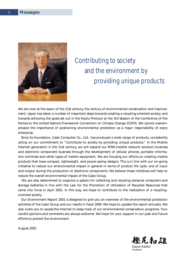

# Contributing to society and the environment by providing unique products

We are now at the dawn of the 21st century, the century of environmental conservation and improvement. Japan has taken a number of important steps towards creating a recycling-oriented society, and towards achieving the goals set out in the Kyoto Protocol at the 3rd Session of the Conference of the Parties to the United Nations Framework Convention on Climate Change (COP3). We cannot overemphasize the importance of positioning environmental protection as a major responsibility of every enterprise.

 Since its foundation, Casio Computer Co., Ltd., has produced a wide range of products, consistently acting on our commitment to "Contribute to society by providing unique products." In the Mobile Internet generation in the 21st century, we will expand our MNS (mobile network solution) business and electronic component business through the development of cellular phones, portable information terminals and other types of mobile equipment. We are focusing our efforts on creating mobile products that have compact, lightweight, and power-saving designs. This is in line with our on-going initiative to reduce our environmental impact in general in terms of product life cycle, and of input and output during the production of electronic components. We believe these initiatives will help to reduce the overall environmental impact of the Casio Group.

 We are also determined to organize a system for collecting and recycling personal computers and storage batteries in line with the Law for the Promotion of Utilization of Recycled Resources that came into force in April 2001. In this way, we hope to contribute to the realization of a recyclingoriented society.

 Our Environment Report 2001 is designed to give you an overview of the environmental protection activities of the Casio Group and our results in fiscal 2000. We hope to update the report annually. We also invite you to access the Internet to keep track of our environmental conservation programs. Your candid opinions and comments are always welcome. We hope for your support in our past and future efforts to protect the environment.

August 2001

橙尾和雄 *Kazuo Kashio*

*President*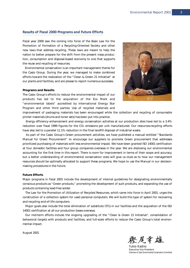# **Results of Fiscal 2000 Programs and Future Efforts**

Fiscal year 2000 saw the coming into force of the Basic Law for the Promotion of Formation of a Recycling-Oriented Society and other new laws that address recycling. These laws are meant to help the nation to better prepare for the shift from the present mass production, consumption and disposal-based economy to one that supports the reuse and recycling of resources.

 Environmental conservation is an important management theme for the Casio Group. During the year, we managed to make combined efforts toward the realization of the "Clean & Green 21 Initiative" at our plants and facilities, and are please to report numerous successes.

#### **Programs and Results**

The Casio Group's efforts to reduce the environmental impact of our products has led to the acquisition of the Eco Mark and "environmental labels" accredited by International Energy Star Program and other third parties. Use of recycled materials and



improvement of packaging materials has been encouraged while the collection and recycling of consumable printer materials (drums and toner sets) has been put into practice.

 Energy efficiency enhancement and energy conservation activities at our production sites have led to a 3.4% reduction over fiscal 1999 figures for the CO<sub>2</sub> emissions per unit manufactured. Our resources-recycling efforts have also led to a parallel 11.1% reduction in the final landfill disposal of industrial waste.

 As part of the Casio Group's Green procurement activities, we have published a manual entitled "Standards Manual for Green Procurement" to encourage our suppliers to promote Green procurement that addresses prioritized purchasing of materials with less environmental impact. We have been granted ISO 14001 certification at four domestic facilities and four group companies overseas in the year. We are disclosing our environmental accounting for the first time in this report. There is room for improvement in terms of their scope and accuracy, but a better understanding of environmental conservation costs will give us clues as to how our management resources should be optimally allocated to support these programs. We hope to use the Manual in our decisionmaking procedures in the future.

#### **Future Efforts**

Major programs in fiscal 2001 include the development of internal guidelines for designating environmentally conscious products as "Green products," promoting the development of such products, and expanding the use of products containing lead-free solder.

 The Law for the Promotion of Utilization of Recycled Resources, which came into force in April 2001, urges the construction of a collection system for used personal computers. We will build this type of system for recovering and recycling end-of-life computers.

 Major goals also include the total elimination of substitute CFCs in our facilities and the acquisition of the ISO 14001 certification at all our production bases overseas.

 Our mid-term efforts include the ongoing upgrading of the "Clean & Green 21 Initiative", consolidation of behavioral targets with products and facilities, and full-scale efforts to reduce the Casio Group's total environmental impact.

August 2001

樱尾幸雄

*Yukio Kashio Executive Vice President Chairman of Casio Environmental Conservation Committee*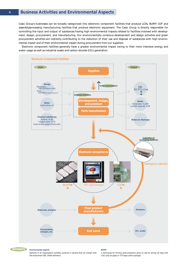# 4 **Business Activities and Environmental Aspects**

Casio Group's businesses can be broadly categorized into electronic component facilities that produce LCDs, BUMP, COF and assembly/processing manufacturing facilities that produce electronic equipment. The Casio Group is directly responsible for controlling the input and output of substances having high environmental impacts related to facilities involved with development, design, procurement, and manufacturing. Our environmentally conscious development and design activities and green procurement activities are indirectly contributing to the reduction of their use and disposal of substances with high environmental impact and of their environmental impact during procurement from our suppliers.

 Electronic component facilities generally have a greater environmental impact owing to their more intensive energy and water usage as well as industrial waste and carbon dioxide (CO2) generation.



**BUMP**



#### **Environmental aspects**

Elements of an organization's activities, products or services that can interact with the environment (ISO 14000 definition)

A technology for forming small projections (pins) on LSIs for joining LSI chips with COG (chip-on-glass) or TCP (tape carrier package).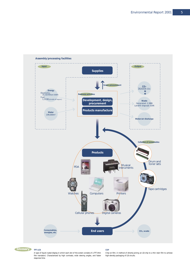



A type of liquid crystal display in which each dot of the screen consists of a TFT (thin film transistor). Characterized by high contrasts, wide viewing angles, and faster response time.

**COF**

Chip-on-film. A method of directly joining an LSI chip to a thin resin film to achieve high-density packaging of LSI circuits.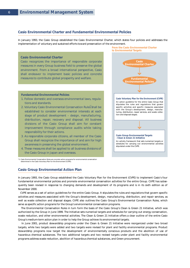# **Casio Environmental Charter and Fundamental Environmental Policies**

In January 1993, the Casio Group established the Casio Environmental Charter, which states four policies and addresses the implementation of voluntary and sustained efforts toward preservation of the environment.

#### **Casio Environmental Charter**

Casio recognizes the importance of responsible corporate measures in every Group business field to preserve the global environment. From a broad international perspective, Casio shall endeavor to implement basic policies and concrete measures to contribute global prosperity and welfare.

#### **Fundamental Environmental Policies**

- 1. Follow domestic and overseas environmental laws, regulations and standards.
- 2. Voluntary Casio Environmental Conservation Rules shall be established to consider environmental interests at each stage of product development – design, manufacturing, distribution, repair, recovery and disposal. All business divisions of the Casio Group shall aim for constant improvement through compliance audits while taking responsibility for their actions.
- 3. As responsible corporate citizens, all member of the Casio Group shall recognize the importance of and aim for high awareness in preserving the global environment.
- 4. These measures shall be applied to all business divisions of the Casio Group in Japan and overseas.



\*1: Casio Environmental Conservation Rules are concrete action programs for environmental conservation determined in the Casio Voluntary Plan for the Environment (CVPE).

#### **Casio Group Environmental Action Plan**

In January 1993, the Casio Group established the Casio Voluntary Plan for the Environment (CVPE) to implement Casio's four fundamental environmental policies and promote environmental conservation activities for the entire Group. CVPE has subsequently been revised in response to changing demands and development of its programs and is in its sixth edition as of November 2000.

 CVPE serves as a set of action guidelines for the entire Casio Group. It stipulates the rules and regulations that govern specific activities and measures associated with the Group's development, design, manufacturing, distribution, and repair services, as well as waste collection and disposal stages. CVPE also outlines the Casio Group's Environmental Conservation Rules, which serve as specific action programs for the Group's environmental conservation programs.

 The Environmental Conservation Rules in turn form the basis of the Casio Group's Clean & Green 21 Initiative, which was authorized by the Group in June 1999. The Initiative sets numerical targets and schedules for carrying out energy conservation, waste reduction, and other environmental activities. The Clean & Green 21 Initiative offers a clear outline of the entire Casio Group's medium-term action plan in order to help the Group achieve its environmental targets.

 In June 2001, product stewardship programs under the Clean & Green 21 Initiative were reorganized under two broad targets, while two targets were added and two targets were revised for plant and facility environmental programs. Product stewardship programs now target the development of environmentally conscious products and the abolition of use of hazardous chemical substances. The two additional targets and two revised targets under plant and facility environmental programs address waste reduction, abolition of hazardous chemical substances, and Green procurement.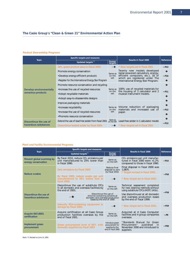# **The Casio Group's "Clean & Green 21" Environmental Action Plan**

#### **Product Stewardship Programs**

|                         | Specific targets and measures                        | Results in fiscal 2000 | Reference                                                               |                 |
|-------------------------|------------------------------------------------------|------------------------|-------------------------------------------------------------------------|-----------------|
| <b>Topic</b>            | Updated targets <sup>*1</sup>                        | Former<br>targets      |                                                                         |                 |
|                         | 30% green product sales in fisical 2003              |                        | * New targets set in fiscal 2001                                        | P <sub>13</sub> |
|                         | Promote energy conservation                          | Same as                | Twenty new models developed<br>(solar-powered calculators, energy-      |                 |
|                         | •Develop energy-efficient products                   | on the<br>left         | efficient computers, etc.), 18 of                                       | P <sub>10</sub> |
|                         | • Register for the International Energy Star Program |                        | which are registered under The<br>International Energy Star Program.    |                 |
|                         | Promote resource conservation and recycling          |                        |                                                                         |                 |
| Develop environmentally | . Increase the use of recycled resources             | Same as<br>on the      | 100% use of recycled materials for<br>the housing of 2 calculator and 2 | P <sub>11</sub> |
| conscious products      | • Adopt recyclable materials                         |                        | musical instrument models.                                              |                 |
|                         | • Adopt easy-to-disassemble designs                  |                        |                                                                         |                 |
|                         | Improve packaging materials                          |                        |                                                                         |                 |
|                         | Same as<br>•Increase recyclability                   |                        | Volume reduction of packaging<br>materials and increased use of         | P <sub>12</sub> |
|                         | . Increase the use of recycled resources             | on the<br>left         | paper.                                                                  |                 |
|                         | •Promote resource conservation                       |                        |                                                                         |                 |
| Discontinue the use of  | Extend the use of lead-free solder from fiscal 2001  | Same as<br>on the left | Lead-free solder in 1 calculator model.                                 | P <sub>13</sub> |
| hazardous substances    | Discontinue leaded solder by fiscal 2004             |                        | * New targets set in fiscal 2001                                        |                 |

# **Plant and Facility Environmental Programs**

|                                                  | Specific targets and measures                                                                                             |                                                                              |                                                                                                                          |                 |  |
|--------------------------------------------------|---------------------------------------------------------------------------------------------------------------------------|------------------------------------------------------------------------------|--------------------------------------------------------------------------------------------------------------------------|-----------------|--|
| <b>Topic</b>                                     | Updated targets <sup>*1</sup>                                                                                             | Former<br>targets                                                            | <b>Results in fiscal 2000</b>                                                                                            | Reference       |  |
| Prevent global warming by<br>energy conservation | By fiscal 2010, reduce CO <sub>2</sub> emissions per<br>unit manufactured to 25% lower than<br>in fiscal 1990.            | Same as<br>on the left                                                       | CO <sub>2</sub> emissions per unit manufac-<br>tured in fiscal $2000$ were $+1.2\%$<br>compared to those in fiscal 1990. | P <sub>14</sub> |  |
| <b>Reduce wastes</b>                             | Zero emissions by fiscal 2005                                                                                             | Reduce final<br>disposal to zero<br>by fiscal 2010.                          | Final disposal in fiscal 2000 was<br>1,087t.<br>* Target revised in fiscal 2001.                                         | P <sub>16</sub> |  |
|                                                  | By fiscal 2005, reduce waste per unit<br>manufactured to 30% below that in<br>fiscal 2000.                                |                                                                              | * New target set in fiscal 2001.                                                                                         |                 |  |
|                                                  | Discontinue the use of substitute CFCs<br>in all domestic and overseas facilities by<br>the end of 2001.                  | Same as<br>on the left                                                       | Technical assessment completed<br>for new cleaning methods without<br>using substitute CFCs (HCFC-141b).                 | P <sub>18</sub> |  |
| Discontinue the use of<br>hazardous substances   | Discontinue the use of<br>chlorine-containing solvents at<br>domestic and overseas production<br>bases by the end of 2000 |                                                                              | Use discontinued at all domestic<br>and overseas production bases<br>by the end of fiscal 1999.                          |                 |  |
|                                                  | Detoxify PCB-containing equipment in<br>storage by fiscal 2005.                                                           |                                                                              | * New target set in fiscal 2001.                                                                                         | P <sub>19</sub> |  |
| <b>Acquire ISO14001</b><br>certification         | Acquire certification at all Casio Group<br>production facilities overseas by the<br>end of fiscal 2001.                  | Same as<br>on the left                                                       | Acquired at 4 Casio Computer<br>facilities and 4 group companies<br>overseas                                             | P <sub>9</sub>  |  |
| Implement green<br>procurement                   | Green procurement level of 80% with<br>domestic suppliers by fiscal 2003                                                  | Introduce areen<br>procurement for<br>supplies by the<br>end of fiscal 2000. | "Standards Manual for Green<br>Procurement"<br>published<br><i>in</i><br>November 2000 and introduced to<br>suppliers.   | P <sub>20</sub> |  |

Note: \*1: Revised on June 11, 2001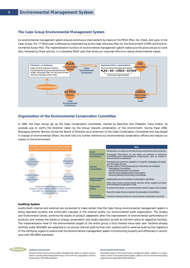# **The Casio Group Environmental Management System**

An environmental management system ensures continuous improvement by means of the PDCA (Plan, Do, Check, Act) cycle. In the Casio Group, the "P"(Plan) part is effected by implementing by the Casio Voluntary Plan for the Environment (CVPE) and the Environmental Action Plan. The implementation function of environmental management system makes sure the plans are put to work (Do), followed by Check and Act, in a interative PDCA cycle that drives our corporate efforts to reduce environmental impact.



# **Organization of the Environmental Conservation Committee**

In 1991, the Casio Group set up the Casio Conservation Committee, chaired by Executive Vice President Yukio Kashio. Its purpose was to clarify the direction taken by the Group towards conservation of the environment. During fiscal 2000, Managing Director Shimizu joined the Board of Directors as co-chairman of the Casio Conservation Committee and was placed in change of environmental affairs. His chief role is to further reinforce our environmental conservation efforts and reduce our impact on the environment.



#### **Auditing System**

Audits (both internal and external) are conducted to make certain that the Casio Group environmental management system is being operated correctly and continually imposed. In the internal audits, our environmental audit organization, The Quality and Environment Center, confirms the results of product assessment after the improvement of environmental performance of products, and reviews the results of energy conservation and waste reduction as well as mid-term plans at respective facilities. The implementation level of the environmental targets of the entire group is thus checked twice each year. Facilities already certified under ISO14001 are subjected to an annual internal audit by their own auditors and to external audit by the inspectors of the certifying organs to ensure that the environmental management system is functioning properly and effectively in accordance with ISO14001 standards.



Process of enhancing the environmental managemental system to achieve improvements in overall environmental performance in line with the organization's environmental policy ( ISO14000 definition)

#### **Environmental performance**

Measurable results of the environmental management system, related to an organization's control of its environmental aspects, based on its own environmental policy, objectives and targets (ISO14000 definition)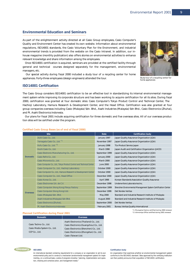# **Environmental Education and Seminars**

As part of the enlightenment activity directed at all Casio Group employees, Casio Computer's Quality and Environment Center has created its own website. Information about environmental regulations, ISO14001 standards, the Casio Voluntary Plan for the Environment, and industrial environmental trends is provided from the website on the Casio Intranet. In addition, our inhouse magazine (monthly publication) also offers stories on environmental activities to enhance relevant knowledge and share information among the employees.

 Once ISO14001 certification is acquired, seminars are provided at the certified facility through general and technical courses designed separately for the management, environmental managers, etc.

 Our special activity during fiscal 2000 included a study tour of a recycling center for home appliances. Forty-three employees (design engineers) attended the tour.



Study tour of a recycling center for home appliances

# **ISO14001 Certification**

The Casio Group considers ISO14001 certification to be an effective tool in standardizing its internal environmental management system while improving its corporate structure and has been working to acquire certification for all its sites. During fiscal 2000, certification was granted at four domestic sites: Casio Computer's Tokyo Product Control and Technical Center, The Hachioji Laboratory, Hamura Research & Development Center, and the Head Office. Certification was also granted at four group companies overseas including Casio (Malaysia) Sdn. Bhd., Asahi Industries (Malaysia) Sdn Bhd., Casio Electronics (Zhuhai), and Pt. Asahi Electronics Indonesia.

 Our plans for fiscal 2001 include acquiring certification for three domestic and five overseas sites. All of our overseas production sites will be certified under the program.

|                 | <b>Site</b>                                                          | <b>Date</b>      | <b>Certification body</b>                                     |
|-----------------|----------------------------------------------------------------------|------------------|---------------------------------------------------------------|
|                 | Aichi Casio Co., Ltd.                                                | January 1997     | Japan Quality Assurance Organization (JQA)                    |
|                 | Yamagata Casio Co., Ltd. <sup>*1</sup>                               | November 1997    | Japan Quality Assurance Organization (JQA)                    |
|                 | Kofu Casio Co., Ltd. *2                                              | January 1998     | Tüv Product Service Japan                                     |
|                 | Kochi Casio Co., Ltd.                                                | March 1998       | Japan Audit and Certification Organization (JACO)             |
|                 | Casio Electronic Manufacturing Co., Ltd.                             | September 1999   | Japan Quality Assurance Organization (JQA)                    |
| <b>Domestic</b> | Casio Refre Co., Ltd.                                                | January 2000     | Japan Quality Assurance Organization (JQA)                    |
|                 | Casio Micronics Co., Ltd.                                            | March 2000       | Japan Quality Assurance Organization (JQA)                    |
|                 | Casio Computer Co., Ltd., Tokyo Product Control and Technical Center | <b>June 2000</b> | Japan Quality Assurance Organization (JQA)                    |
|                 | Casio Computer Co., Ltd., Hachioji Laboratory                        | October 2000     | Japan Quality Assurance Organization (JQA)                    |
|                 | Casio Computer Co., Ltd., Hamura Research & Development Center       | October 2000     | Japan Quality Assurance Organization (JQA)                    |
|                 | Casio Computer Co., Ltd., Head Office                                | December 2000    | Japan Quality Assurance Organization (JQA)                    |
|                 | Casio Korea Co., Ltd.                                                | April 1998       | Korean Standards Association Quality Assurance                |
|                 | Casio Electromex S.A. de C.V.                                        | December 1998    | Underwriters Laboratories Inc.                                |
|                 | Casio Computer (Hong Kong) Panyu Factory                             | September 1999   | Shenzhen Environmental Management System Certification Center |
| <b>Overseas</b> | Casio Computer (Hong Kong) Ltd.                                      | December 1999    | Det Norske Veritas                                            |
|                 | Casio (Malaysia) Sdn. Bhd.                                           | May 2000         | Standard and Industrial Research Institute of Malaysia        |
|                 | Asahi Industries (Malaysia) Sdn Bhd.                                 | August 2000      | Standard and Industrial Research Institute of Malaysia        |
|                 | Casio Electronics (Zhuhai),                                          | September 2000   | Det Norske Veritas                                            |
|                 | Pt. Asahi Electronics Indonesia                                      | February 2001    | <b>Bureau Veritas Quality International</b>                   |

#### **Certified Casio Group Bases (as of end of fiscal 2000)**

# **Planned Certification during Fiscal 2001**

| <b>Domestic</b>                                                         | <b>Overseas</b>                                                                                                                                                        |
|-------------------------------------------------------------------------|------------------------------------------------------------------------------------------------------------------------------------------------------------------------|
| Casio Techno Co., Ltd.<br>Casio Media System Co., Ltd.<br>CCP Co., Ltd. | Asahi Electronics (Thailand) Co., Ltd.<br>Casio Electronics (Guangzhou) Co., Ltd.<br>Casio Electronics (Shenzhen) Co., Ltd.<br>Casio Electronics (Zhongshan) Co., Ltd. |
|                                                                         | Casio (Taiwan) Ltd.                                                                                                                                                    |

\*1: Murayama Factory certified during 2000 renewal.

\*2: Ichinomiya Office certified during 2001 renewal.



An international standard containing requirements for a company or an organization to set its own environmental policy and to construct a mechanism (environmental management system) for implementing, on a continual basis, a series of programs including "planning, implementation and operation, checking and corrective action, and management review

#### **Certification body**

An organization that examines whether an environmental management system conforms to the ISO14001 standard. Sites approved by the certifying institution can then publicly announce their acquisition of ISO14001 certification.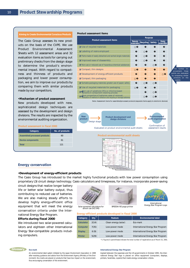#### **Aiming to Create Environmental Conscious Products**

The Casio Group assesses its new products on the basis of the CVPE. We use Product Environmental Assessment Sheets with 12 assessment areas and 32 evaluation items as tools for carrying out preliminary checks from the design stage to determine the product's environmental impact. With regard to compactness and thinness of products and packaging and lower power consumption, we aim to improve our products by comparing them with similar products made by our competitors.

#### **•Mechanism of product assessment**

New products developed with new, sophisticated design techniques are assessed by the development and design divisions. The results are inspected by the environmental auditing organization.

#### **Product assessment in fiscal 2000**

| Category                            | No. of products |
|-------------------------------------|-----------------|
| <b>Assembled/processed products</b> | 60              |
| <b>Device components</b>            | 61              |
| Total                               | 121             |
|                                     |                 |

|                                                                                                                          |  | <b>Purpose</b>   |        |                              |
|--------------------------------------------------------------------------------------------------------------------------|--|------------------|--------|------------------------------|
| <b>Product assessment items</b><br>conservation                                                                          |  | <b>Recycling</b> | Safety | <b>Energy</b><br>conservatic |
| $\boldsymbol{V}$ Use of recycled materials                                                                               |  |                  |        |                              |
| <b></b> ∠ Labeling of resins employed                                                                                    |  |                  |        |                              |
| ✔ Parts made of easily detached and sorted single materials                                                              |  |                  |        |                              |
| ✔ Improved ease of disassembly                                                                                           |  |                  |        |                              |
| ■ Non-use or reduced use of hazardous chemical substances                                                                |  |                  |        |                              |
| $\mathsf{V}$ Compact, thin designs                                                                                       |  |                  |        |                              |
| ✔ Development of energy-efficient products                                                                               |  |                  |        |                              |
| $\vee$ Compact, thin packaging                                                                                           |  |                  |        |                              |
| ✔ Sortable packaging materials; greater use of paper; safety                                                             |  |                  |        |                              |
| $\vee$ Use of recycled materials for packaging                                                                           |  |                  |        |                              |
| V Non-use of substitute CFCs or chlorine-based<br>solvents in component cleaning process                                 |  |                  |        |                              |
| Toxic properties of batteries; ease of removal;<br>indication of method of collection and recycling of storage batteries |  |                  |        |                              |



#### **Product environmental audit sheets**



# **Energy conservation**

#### **•Development of energy-efficient products**

The Casio Group has introduced to the market highly functional products with low power consumption using proprietary LSI circuit design technology. Casio calculators and timepieces, for instance, incorporate power-saving

circuit designs that realize longer battery life or better solar battery output, thus contributing to reduced use of batteries. We are also making steady efforts to develop highly energy-efficient office equipment that will meet the energy conservation criteria under the International Energy Star Program.

### **Efforts during fiscal 2000**

We introduced two solar-powered calculators and eighteen other International Energy Star-compatible products including computers.



school use (AZ-24S)

**Display Printer**



SPEEDIA N5 page printer



Energy Star Program Logo

**Energy-efficient products developed in fiscal 2000**

| <b>Category</b> | $\text{Oty}^{\star}$ | Feature              | <b>Environmental label</b>        |  |
|-----------------|----------------------|----------------------|-----------------------------------|--|
| Calculator      | 2(14)                | Clean energy (solar) | Eco-mark                          |  |
| Computer        | 7(35)                | Low-power mode       | International Energy Star Program |  |
| <b>Display</b>  | 6(9)                 | Low-power mode       | International Energy Star Program |  |
| Printer         | 5(29)                | Low-power mode       | International Energy Star Program |  |

\*1: Figures in parentheses indicate the total number of registrations as of March 31, 2001.



An environmental label system initiated by the Japan Environment Association in 1989 after receiving guidance and advice from the Environment Agency (Ministry of the Environment). Eco-marks are placed on products that have low impact on the environment, thus encouraging conservation of the environment.

#### **International Energy Star Program**

Agreed between the Japanese and the US governments in October 1995, the International Energy Star logo is placed on office equipment (computers, displays, printers, facsimiles, copiers) that meets energy conservation criteria.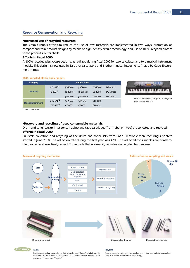# **Resource Conservation and Recycling**

#### **•Increased use of recycled resources**

The Casio Group's efforts to reduce the use of raw materials are implemented in two ways: promotion of compact and thin product designs by means of high-density circuit technology, and use of 100% recycled plastics in the products' outer shells.

# **Efforts in fiscal 2000**

A 100% recycled plastic case design was realized during fiscal 2000 for two calculator and two musical instrument models. This design is now used in 12 other calculators and 6 other musical instruments (made by Casio Electromex) in total.

| 100% recycled plastic body models |                         |             |              |                |           |
|-----------------------------------|-------------------------|-------------|--------------|----------------|-----------|
| Category                          | Product name            |             |              |                |           |
|                                   | $AZ-24S^{\star 1}$      | $JS-10$ eco | JS-8keco     | $DS-10$ eco    | DS-8keco  |
| Calculator                        | $JZ-20E^*$ <sup>1</sup> | $JS-12eco$  | $JS-10k$ eco | $DS-12$ eco    | DS-10keco |
|                                   |                         | $JS-20$ eco | $JS-20k$ eco | $DS-20$ eco    | DS-20keco |
| <b>Musical instrument</b>         | $CTK-571$ <sup>*1</sup> | CTK-533     | CTK-541      | <b>CTK-558</b> |           |
|                                   | $CTK-573^{\star 1}$     | CTK-631     | CTK-551      | <b>CTK-651</b> |           |



Musical instrument using a 100% recycled plastic case(CTK-571)

\*1: New in fiscal 2000

#### **•Recovery and recycling of used consumable materials**

Drum and toner sets (printer consumables) and tape cartridges (from label printers) are collected and recycled. **Efforts in fiscal 2000**

Full-scale collection and recycling of the drum and toner sets from Casio Electronic Manufacturing's printers started in June 2000. The collection rate during the first year was 47%. The collected consumables are disassembled, sorted and selectively reused. Those parts that are readily reusable are recycled for new use.



#### **Glossary Reuse**

Reusing used parts without altering their original shape. "Reuse" falls between the other two "Rs" of environmental impact reduction efforts, namely "Reduce" (avoid generation of waste) and "Recycle".

#### **Recycling**

Reusing wastes by making or incorporating them into a new material (material recycling) or as a source of heat (thermal recycling).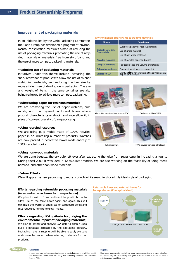# **Improvement of packaging materials**

In an initiative led by the Casio Packaging Committee, the Casio Group has developed a program of environmental conservation measures aimed at reducing the use of packaging materials, promoting the use of recycled materials or materials free from styrofoam, and the use of more compact packaging materials.

#### **•Reducing use of packaging materials**

Initiatives under this theme include increasing the shock resistance of products to allow the use of thinner cushioning materials, and reducing the box size by more efficient use of dead space in packaging. The size and weight of items in the same container are also being reviewed to achieve more compact packaging.

# **•Substituting paper for resinous materials**

We are promoting the use of paper cushions, pulp molds, and multilayered cardboard boxes where product characteristics or shock resistance allow it, in place of conventional styrofoam packaging.

# **•Using recycled resources**

We are using pulp molds made of 100% recycled paper in an increasing number of products. Watches are now packed in decorative boxes made entirely of 100% recycled books.

#### **•Using non-wood materials**

We are using bagasse, the dry pulp left over after extracting the juice from sugar cane, in increasing amounts. During fiscal 2000, it was used in 12 calculator models. We are also working on the feasibility of using reeds, bamboo, and other non-wood materials.

#### **•Future Efforts**

We will apply the new packaging to more products while searching for a truly ideal style of packaging.

# **Efforts regarding returnable packaging materials (inner and external boxes for transportation)**

We plan to switch from cardboard to plastic boxes to allow use of the same boxes again and again. This will minimize the wasteful single use of cardboard boxes and thus reduce our environmental impact.

# **Efforts regarding LCA (criteria for judging the environmental impact of packaging materials)**

We plan to gather and analyze LCA data to enable us to build a database accessible by the packaging industry. Packaging material suppliers will be able to easily evaluate environmental impact when selecting materials for our products.

# **Returnable inner and external boxes for**

**transportation (Conceptual chart)**

**Bagasse**





Molds made from pulp are drawing interest in the industry as a recyclable material that will replace conventional packaging and cushioning materials that use styrofoam or PVC.

#### **Environmental efforts with packaging materials**

| <b>Theme</b>                        | <b>Description</b>                                                       |
|-------------------------------------|--------------------------------------------------------------------------|
|                                     | Substitute paper for resinous materials                                  |
| Sortable materials<br>Paper, safety | Use of single material                                                   |
|                                     | Use of non-wood materials                                                |
| <b>Recycled resources</b>           | Use of recycled paper and resins                                         |
| <b>Compact materials</b>            | Reduce box size and volume of materials                                  |
| Returnable materials                | Repeated use (towards zero waste)                                        |
| <b>Studies on LCA</b>               | Clarify criteria for evaluating the environmental<br>impact of materials |



About 50% reduction inbox volume (PDA) Cardboard cushions (MPC)







Pulp molds (PDA) 100% recycled from books (watches)

Non-wood paper, made mostly from sugar cane residue, is also drawing attention in the industry. Its high density and good hardness make it usable for quality printing paper, publishing, etc.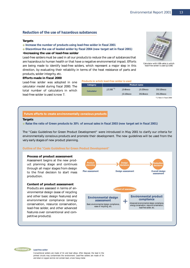# **Reduction of the use of hazardous substances**

#### **Targets**

# **Increase the number of products using lead-free solder in fiscal 2001 Discontinue the use of leaded solder by fiscal 2004 (new target set in fiscal 2001)**

#### **•Increasing the use of lead-free solder**

Lead-free solders must be used in all our products to reduce the use of substances that are hazardous to human health or that have a negative environmental impact. Efforts are being made to identify lead-free solders, which represent a major step in this direction, by evaluating their reliability in terms of the heat resistance of parts and products, solder integrity, etc.



Calculator with USB cable in which lead-free solder is used (JZ-20E)

# **Efforts made in fiscal 2000**

Lead-free solder was adopted in one calculator model during fiscal 2000. The total number of calculators in which lead-free solder is used is now 7.

#### **Products in which lead-free solder is used**

| Category   | Product name            |              |              |           |  |  |  |
|------------|-------------------------|--------------|--------------|-----------|--|--|--|
| Calculator | $JZ-20E^*$ <sup>1</sup> | $JS-8k$ eco  | $JS-20k$ eco | DS-10keco |  |  |  |
|            |                         | $JS-10k$ eco | DS-8keco     | DS-20keco |  |  |  |
|            |                         |              |              | .         |  |  |  |

\*1: New in fiscal 2000

#### **Future efforts to create environmentally conscious products**

## **Targets**

**Raise the ratio of Green products to 30% of annual sales in fiscal 2003 (new target set in fiscal 2001)**

The "Casio Guidelines for Green Product Development" were introduced in May 2001 to clarify our criteria for environmentally conscious products and promote their development. The new guidelines will be used from the very early stages of new product planning.

**Outline of the "Casio Guidelines for Green Product Development"**

### **Process of product assessment** Assessment begins at the new prod-

uct planning stage and continues through all major stages from design to the final decision to start mass production.

#### **Content of product assessment**

Products are assessed in terms of environmental design (ease of recycling and other basic design features) and environmental compliance (energy conservation, resource conservation, lead-free solder, and other advanced features over conventional and competitive products).





Conventional solders are made of tin and lead alloys. After disposal, the lead in the printed circuits may contaminate the environment. Lead-free solders are made of tin and silver or copper and do not contain lead, a toxic heavy metal.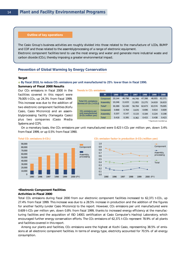#### **Outline of key operations**

The Casio Group's business activities are roughly divided into those related to the manufacture of LCDs, BUMP and COF and those related to the assembly/processing of a range of electronic equipment. Electronic component facilities tend to use the most energy and water and generate more industrial waste and

# **Prevention of Global Warming by Energy Conservation**

carbon dioxide (CO2), thereby imposing a greater environmental impact.

#### **Target**

**By fiscal 2010, to reduce CO2 emissions per unit manufactured to 25% lower than in fiscal 1990. Summary of Fiscal 2000 Results**

# Our CO2 emissions in fiscal 2000 in the facilities covered in this report were 79,005 t-CO2, up 24.3% from fiscal 1999. This increase was due to the addition of

two electronic component facilities (Kofu Casio, Casio Micronics) and an assembly/processing facility (Yamagata Casio) plus two companies (Casio Media Systems and CCP).

|                                                                            | <b>FY</b>       | 1990   | 1996   | 1997   | 1998   | 1999   | 2000   |
|----------------------------------------------------------------------------|-----------------|--------|--------|--------|--------|--------|--------|
|                                                                            | Component       | 20.144 | 40,798 | 44.749 | 47.398 | 48.955 | 62,371 |
| Total CO <sub>2</sub> emissions<br>(tonnes of $CO2$ [ t-CO <sub>2</sub> ]) | <b>Assembly</b> | 10.246 | 11,633 | 11.955 | 15.275 | 14.619 | 16,633 |
|                                                                            | Total*          | 30.389 | 52,430 | 56.704 | 62.673 | 63.574 | 79.005 |
| CO <sub>2</sub> emissions per                                              | Component       | 0.868  | 0.764  | 0.670  | 0.696  | 0.614  | 0.609  |
| unit manufactured<br>(t-CO <sub>2</sub> /million yen)                      | Assembly        | 0.207  | 0.147  | 0.133  | 0.184  | 0.224  | 0.198  |
|                                                                            | <b>Total</b>    | 0.418  | 0.395  | 0.362  | 0.415  | 0.438  | 0.423  |

\* Figures are rounded up.

 On a monetary basis, the CO2 emissions per unit manufactured were 0.423 t-CO2 per million yen, down 3.4% from fiscal 1999, or up 0.5% from fiscal 1990.

**Trends in CO<sub>2</sub> emissions** 







## **•Electronic Component Facilities**

#### **Activities in Fiscal 2000**

Total CO2 emissions during fiscal 2000 from our electronic component facilities increased to 62,371 t-CO2, up 27.4% from fiscal 1999. This increase was due to a 28.5% increase in production and the addition of the figures for another facility (under Casio Micronics) to the report. However, CO<sub>2</sub> emissions per unit manufactured were 0.609 t-CO2 per million yen, down 0.8% from fiscal 1999, thanks to increased energy efficiency at the manufacturing facilities and the acquisition of ISO 14001 certification at Casio Computer's Hachioji Laboratory, which encouraged further energy conservation efforts. The CO<sub>2</sub> emissions of 62,371 t-CO<sub>2</sub> represent 78.9% of all plants and facilities covered in this report.

Among our plants and facilities, CO<sub>2</sub> emissions were the highest at Kochi Casio, representing 38.5% of emissions at all electronic component facilities. In terms of energy type, electricity accounted for 70.5% of all energy consumption.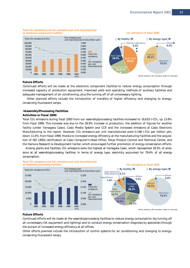

#### **Total CO2 emissions and CO2 emissions per unit manufactured at electronic component facilities**

# **Future Efforts**

Continued efforts will be made at the electronic component facilities to reduce energy consumption through increased capacity of production equipment, improved yield and operating methods of auxiliary facilities and adequate management of air conditioning, plus the turning off of all unnecessary lighting.

 Other planned efforts include the introduction of transfers of higher efficiency and changing to energyconserving fluorescent lamps.

### **•Assembly/Processing Facilities Activities in fiscal 2000**

Total CO<sub>2</sub> emissions during fiscal 2000 from our assembly/processing facilities increased to 16,633 t-CO<sub>2</sub>, up 13.8% from fiscal 1999. This increase was due to the 28.9% increase in production, the addition of figures for another facility (under Yamagata Casio), Casio Media System and CCP, and the increased emissions at Casio Electronic Manufacturing to the report. However, CO<sub>2</sub> emissions per unit manufactured were 0.198 t-CO<sub>2</sub> per million yen, down 11.6% from fiscal 1999, thanks to increased energy efficiency at the manufacturing facilities and the acquisition of ISO 14001 certification at Casio Computer's Head Office, Tokyo Product Control and Technical Center, and the Hamura Research & Development Center, which encouraged further promotion of energy conservation efforts.

Among plants and facilities, CO<sub>2</sub> emissions were the highest at Yamagata Casio, which represented 28.3% of emissions at all assembly/processing facilities. In terms of energy type, electricity accounted for 79.4% of all energy consumption.



# **Future Efforts**

Continued efforts will be made at the assembly/processing facilities to reduce energy consumption (by turning off all unnecessary OA equipment and lighting) and to conduct energy conservation diagnosis by specialists through the pursuit of increased energy efficiency at all offices.

Other efforts planned include the introduction of control systems for air conditioning and changing to energyconserving fluorescent lamps.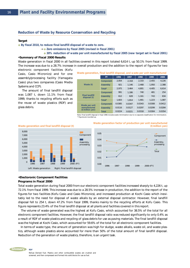# **Reduction of Waste by Resource Conservation and Recycling**

#### **Target**

**By fiscal 2010, to reduce final landfill disposal of waste to zero.**

Zero emissions by fiscal 2005 (revised in fiscal 2001)

◆**30% reduction of waste per unit manufactured by fiscal 2005 (new target set in fiscal 2001)**

# **•Summary of Fiscal 2000 Results**

Waste generation in fiscal 2000 in all facilities covered in this report totaled 6,614 t, up 50.1% from fiscal 1999. The increase was due to a 28.7% increase in overall production and the addition to the report of figures for two

electronic component facilities (Kofu Casio, Casio Micronics) and for one assembly/processing facility (Yamagata Casio) plus two companies (Casio Media Systems and CCP).

 The amount of final landfill disposal was 1,087 t, down 11.1% from fiscal 1999, thanks to recycling efforts such as the reuse of waste plastics (RDF) and glass debris.

|                                       | <b>FY</b>       | 1996   | 1997   | 1998   | 1999   | 2000   |
|---------------------------------------|-----------------|--------|--------|--------|--------|--------|
|                                       | Component       | 2.054  | 2.318  | 2.333  | 2,455  | 4,226  |
| Waste (t)                             | <b>Assembly</b> | 921    | 1.146  | 2.468  | 1.950  | 2,388  |
|                                       | Total*          | 2.975  | 3.464  | 4.801  | 4.405  | 6,614  |
|                                       | Component       | 991    | 1.186  | 740    | 481    | 254    |
| <b>Final landfill</b><br>disposal (t) | <b>Assembly</b> | 612    | 628    | 1.161  | 743    | 834    |
|                                       | Total*          | 1.603  | 1.814  | 1.901  | 1.223  | 1.087  |
| Waste per unit                        | Component       | 0.0385 | 0.0347 | 0.0343 | 0.0308 | 0.0412 |
| manufactured                          | <b>Assembly</b> | 0.0116 | 0.0127 | 0.0297 | 0.0299 | 0.0284 |
| (t/million yen)                       | <b>Total</b>    | 0.0224 | 0.0221 | 0.0318 | 0.0304 | 0.0354 |

**Waste generation, final landfill disposal, and waste per unit manufactured**

Note: Final landfill disposal in fiscal 1996 includes waste minimization due to no separate classification for minimization. Figures are rounded up.

**Waste generation factor of production per unit manufactured**

**(t/million yen)**



#### **Waste generation and final landfill disposal (t)**

#### **•Electoronic Component Facilities Programs in Fiscal 2000**

Total waste generation during fiscal 2000 from our electronic component facilities increased sharply to 4,226 t, up 72.1% from fiscal 1999. This increase was due to a 28.5% increase in production, the addition to the report of the figures for two facilities (Kofu Casio and Casio Micronics), and increased production at Kochi Casio which inevitably led to the need for disposal of waste alkalis by an external disposal contractor. However, final landfill disposal fell to 254 t, down 47.2% from fiscal 1999, thanks mainly to the recycling efforts at Kofu Casio. This figure represents 23.4% of the final landfill disposal at all plants and facilities covered in this report.

 The volume of waste generated was the highest at Kofu Casio, which accounted for 38.5% of the total for all electronic component facilities. However, the final landfill disposal ratio was reduced significantly to only 0.4% as a result of RDF of waste plastics and recycling of glass debris for use as paving materials. The final landfill disposal was the highest at Kochi Casio, which accounted for 59.6% of the total for all electronic component facilities.

 In terms of waste type, the amount of generation was high for sludge, waste alkalis, waste oil, and waste plastics, although waste plastics alone accounted for more than 50% of the total amount of final landfill disposal. Reduction of the generation of waste plastics, therefore, is an urgent task.

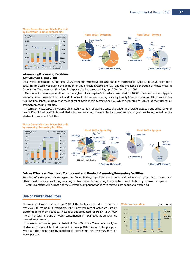#### **Waste Generation and Waste Per Unit by Electronic Component Facilities**





# **•Assembly/Processing Facilities Activities in Fiscal 2000**

Total waste generation during fiscal 2000 from our assembly/processing facilities increased to 2,388 t, up 22.5% from fiscal 1999. This increase was due to the addition of Casio Media Systems and CCP and the increased generation of waste metal at Casio Refre. The amount of final landfill disposal also increased to 834t, up 12.2% from fiscal 1999.

 The amount of waste generation was the highest at Yamagata Casio, which accounted for 18.5% of all device assembly/processing facilities. However, the final landfill disposal ratio was reduced significantly to only 8.5% as a result of RDF of waste plastics. The final landfill disposal was the highest at Casio Media Systems and CCP, which accounted for 34.3% of the total for all assembly/processing facilities.

 In terms of waste type, the volume generated was high for waste plastics and paper, with waste plastics alone accounting for nearly 90% of final landfill disposal. Reduction and recycling of waste plastics, therefore, is an urgent task facing, as well as the electronic component facilities.



#### **Future Efforts at Electronic Component and Product Assembly/Processing Facilities**

Recycling of waste plastics is an urgent task facing both groups. Efforts will continue aimed at thorough sorting of plastic and other mixed waste and exploring recycling contractors while promoting the repeated use of plastic trays from our suppliers. Continued efferts will be made at the electronic component facilities to recycle glass debris and waste acid.

# **Use of Water Resources**

The volume of water used in fiscal 2000 at the facilities covered in this report was 2,246,000 m3, up 6.7% from fiscal 1999. Large volumes of water are used at electronic component facilities. These facilities accounted for 91.1% (2,047,000 m3) of the total amount of water consumption in fiscal 2000 at all facilities covered in this report.

 The water purification plant installed at Casio Micronics' Yamanashi facility (a electronic component facility) is capable of saving 40,000  $m<sup>3</sup>$  of water per year, while a similar plant recently modified at Kochi Casio can save 86,000 m<sup>3</sup> of water per year.

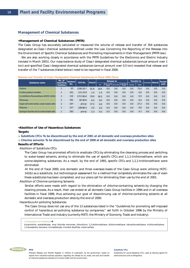### **Management of Chemical Substances**

#### **•Management of Chemical Substances (PRTR)**

The Casio Group has accurately calculated or measured the volume of release and transfer of 354 substances designated as Class I chemical substances defined under the Law Concerning the Reporting of the Release into the Environment of Specific Chemical Substances and Promoting Improvements in their Management (PRTR law).

We are also working closely in accordance with the PRTR Guidelines for the Electronics and Electric Industry (revised in March 2001). Our mass balance study of Class I designated chemical substances (annual amount over 1 ton) and specified Class I designated chemical substances (annual amount over 0.5 ton) revealed that release and transfer of the 7 substances (listed below) need to be reported in fiscal 2000.

| Release and Transfer of Class I Designated Chemical Substances in Fiscal 2000 (Tons) |  |  |
|--------------------------------------------------------------------------------------|--|--|
|                                                                                      |  |  |

| Substance name                                    | No. of<br>reporting | Substance | CAS No.       | <b>Amount</b> | Release to |                        |     | <b>Transfer to</b>                        |        | Consumption   Removal |     | Recycled |        |
|---------------------------------------------------|---------------------|-----------|---------------|---------------|------------|------------------------|-----|-------------------------------------------|--------|-----------------------|-----|----------|--------|
|                                                   | facilities          | No.       |               |               | Air        | Public water<br>supply |     | Soil at site Landfill disposal<br>at site | Sewage | Waste                 |     |          | (paid) |
| <b>Xylene</b>                                     |                     | 63        | 1330-20-7     | 91.8          | 18.4       | 0.0                    | 0.0 | 0.0                                       | 0.0    | 73.4                  | 0.0 | 0.0      | 0.0    |
| 2-ethoxyethyl acetate                             |                     | 101       | 111-15-9      | 1.4           | 1.4        | 0.0                    | 0.0 | 0.0                                       | 0.0    | 0.0                   | 0.0 | 0.0      | 0.0    |
| 1,1-dichloro-fluoroethane (HCFC-141b)             |                     | 132       | 1717-00-6     | 19.0          | 18.3       | 0.0                    | 0.0 | 0.0                                       | 0.0    | 0.5                   | 0.0 | 0.0      | 0.2    |
| <b>Thiourea</b>                                   | $\overline{2}$      | 181       | $62 - 56 - 6$ | 6.4           | 0.0        | 0.0                    | 0.0 | 0.0                                       | 0.0    | 6.4                   | 0.0 | 0.0      | 0.0    |
| Copper salt (water-soluble, except complex salts) | $\overline{2}$      | 207       | group         | 27.2          | 0.0        | 0.0                    | 0.0 | 0.0                                       | 0.0    | 27.2                  | 0.0 | 0.0      | 0.0    |
| <b>Toluene</b>                                    |                     | 227       | 108-88-3      | 2.0           | 2.0        | 0.0                    | 0.0 | 0.0                                       | 0.0    | 0.0                   | 0.0 | 0.0      | 0.0    |
| Hydrogen fluoride and its water-soluble salts     |                     | 283       | group         | 5.3           | 0.3        | 0.3                    | 0.0 | 0.0                                       | 0.0    | 4.7                   | 0.0 | 0.0      | 0.0    |

## **•Abolition of Use of Hazardous Substances**

#### **Targets**

**Substitute CFCs: To be discontinued by the end of 2001 at all domestic and overseas production sites Chlorine solvents: To be discontinued by the end of 2000 at all domestic and overseas production sites** 

# **Results of Efforts**

Abolition of Substitute CFCs

 The Casio Group has promoted efforts to eradicate CFCs by eliminating the cleansing process and switching to water-based solvents, aiming to eliminate the use of specific CFCs and 1,1,1-trichloroethane, which are ozone-depleting substances. As a result, by the end of 1993, specific CFCs and 1,1,1-trichloroethane were eliminated.

 At the end of fiscal 2000, one domestic and three overseas bases of the Casio Group were utilizing HCFC-141(b) as a substitute, but technological assessment for a method that completely eliminates the use of even these substitutes has been completed, and our plans call for eliminating their use by the end of 2001.

#### Abolition of Chlorine-containing Solvents

 Similar efforts were made with regard to the elimination of chlorine-containing solvents by changing the cleaning process. As a result, their use ended at all domestic Casio Group facilities in 1994 and in all overseas facilities in fiscal 1999, thus achieving our goal of discontinuing use of chlorine-containing solvents at all domestic and overseas production sites by the end of 2000.

Hazardous Air-polluting Substances

 The Casio Group does not use any of the 13 substances listed in the "Guidelines for promoting self-imposed control of hazardous air-polluting substance by companies," set forth in October 1996 by the Ministry of International Trade and Industry (currently METI, the Ministry of Economy, Trade and Industry).

#### **13 Hazardous Air Pollutants**

Acrylonitrile, acetaldehyde, vinyl chloride monomer, chloroform, 1,2-dichloroethane, dichloromethane, tetrachloroethylene, trichloroethylene, 1,3-butadiene, benzene, formaldehyde, trinickel disulfide, nickel sulfate



Substitutes for ozone-depleting CFCs, used as cleaning agents for semiconductors and as refrigerants.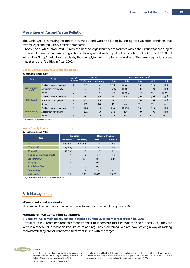# **Prevention of Air and Water Pollution**

The Casio Group is making efforts to prevent air and water pollution by setting its own strict standards that exceed legal and regulatory emission standards.

 Kochi Casio, which produces LCDs devices, has the largest number of facilities within the Group that are subject to anti-pollution air and water regulations. Their gas and water quality levels (listed below) in fiscal 2000 fall within the Group's voluntary standards, thus complying with the legal regulations. The same regulations were met at all other facilities in fiscal 2000.

#### **Gas Quality Level at Smoke-Emitting Facilities**

|                                       | KOCNI CASIO (FISCAI ZUUU) |                |                 |           |      |                                   |      |      |      |  |
|---------------------------------------|---------------------------|----------------|-----------------|-----------|------|-----------------------------------|------|------|------|--|
| <b>Item</b>                           | Facility                  | No. of         | <b>Standard</b> |           |      | Max. measured value <sup>*1</sup> |      |      |      |  |
|                                       |                           | facilities     | Prefectural     | Voluntary |      |                                   |      |      |      |  |
|                                       | Cold/warm water generator | 2              | 0.3             | 0.1       | 0.01 | 0.01                              |      |      |      |  |
| Soot and dust<br>(g/m <sup>3</sup> N) | Absorption refrigerator   | 2              | 0.3             | 0.1       | 0.01 | 0.01                              |      |      |      |  |
|                                       | <b>Boiler</b>             | 5              | 0.3             | 0.1       | 0.01 | 0.01                              | 0.01 | 0.01 | 0.01 |  |
|                                       | Cold/warm water generator | $\overline{2}$ | 180             | 140       | 52   | 65                                |      |      |      |  |
| NO <sub>x</sub> (ppm)                 | Absorption refrigerator   | 2              | 180             | 140       | 74   | 51                                |      |      |      |  |
|                                       | <b>Boiler</b>             | 5              | 180             | 140       | 40   | 60                                | 66   | 71   | 81   |  |
|                                       | Cold/warm water generator | $\overline{2}$ | 17.5            | 1.0       | 0.18 | 0.10                              |      |      |      |  |
| SOx (K value)                         | Absorption refrigerator   | $\overline{2}$ | 17.5            | 1.0       | 0.53 | 0.29                              |      |      |      |  |
|                                       | <b>Boiler</b>             | 5              | 17.5            | 1.0       | 0.12 | 0.07                              | 0.15 | 0.12 | 0.14 |  |

\*1: Numbers – identify the facilities.

#### **Water Quality Levels**

 $K = 1.60$   $K = 1.6000$ 

#### **Kochi Casio (Fiscal 2000)**

|                             |             | Standard         |                | <b>Measured values</b> |  |  |
|-----------------------------|-------------|------------------|----------------|------------------------|--|--|
| <b>Item</b>                 | Prefectural | <b>Voluntary</b> | Max.           | Average <sup>*1</sup>  |  |  |
| pH                          | 5.8 8.6     | $6.1 \quad 8.3$  | 7.8            | 7.3                    |  |  |
| BOD (mg/L)                  | 50 40       | 16               | 15.1           | 6.8                    |  |  |
| SS (mg/L)                   | 90 70       | 20               | $\overline{7}$ | 4.1                    |  |  |
| n-hexane extractives (mg/L) | 5           | $\overline{4}$   | 1              | 1                      |  |  |
| Copper (mg/L)               | 3           | 0.8              | 0.41           | 0.19                   |  |  |
| Zinc (mg/L)                 | 5           | $\overline{4}$   | 0.03           |                        |  |  |
| Soluble iron (mg/L)         | 10          | 8                | 0.37           |                        |  |  |
| Fluorine (mg/L)             | 15          | 9                | 4.2            | 1.7                    |  |  |
| Lead (mg/L)                 | 0.1         | 0.08             | 0.01           | 0.01                   |  |  |

\*1: " " Undetected data is included in measured values.

# **Risk Management**

# **•Complaints and accidents**

No complaints or accidents of an environmental nature occurred during fiscal 2000.

# **•Storage of PCB-Containing Equipment**

### **Detoxify PCB-containing equipment in storage by fiscal 2005 (new target set in fiscal 2001)**

A total of 14 PCB-contained condensers are stored at four domestic facilities as of the end of fiscal 2000. They are kept in a special fall-prevention iron structure and regularly maintained. We are now seeking a way of making them harmless by proper contracted treatment in line with the target.



A locally defined constant used in the calculation of the emission standard for SOx (given below) relative to the height of the exit of each smoke-emitting facility. SOx emissions = K × (Height of exit)<sup>2</sup> × 10<sup>-3</sup>

#### **PCB**

Harmful organic chlorides that cause skin irritation or liver malfunction, often used as insulator in condensers, as heating medium or as an additive in printing inks. Production ended in 1972 under the guidance of the Ministry of International Trade and Industry (currently, METI).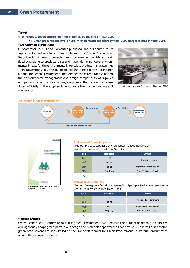#### **Target**

### **To introduce green procurement for materials by the end of fiscal 2000**

# Green procurement level of 80% with domestic suppliers by fiscal 2003 (target revised in fiscal 2001) **•Activities in Fiscal 2000**

In September 1999, Casio Computer published and distributed to its suppliers, its fundamental ideas in the form of the Green Procurement Guideline to vigorously promote green procurement which is prioritized purchasing to products, parts and materials having lower environmental impact for the environmentally conscious product manufacturing.

 In November 2000, the guideline set the basis for the "Standards Manual for Green Procurement" that defines the criteria for evaluating the environmental management and design compatibility of supplies and parts provided by the company's suppliers. The manual was introduced officially to the suppliers to encourage their understanding and cooperation.



Introductory session for suppliers (November 2000)

#### **Mechanism of Green Procurement**





Green Procurement

#### **Evaluation of Green Suppliers** Method: Evaluate supplier's environmental management system

Result: Suppliers are ranked from SV to CV

| Rank      | Total score | Criteria                |  |  |  |
|-----------|-------------|-------------------------|--|--|--|
| <b>SV</b> | 100         |                         |  |  |  |
| AV        | $90-70$     | Prioritized transaction |  |  |  |
| <b>BV</b> | $60-30$     | Improvement requested   |  |  |  |
| CV        | 20 or lower | No new orders issued    |  |  |  |

#### **Evaluation of Green Parts**

Method: Evaluate products from prioritized suppliers (AV or higher) against 9 environmental design standards Result: Products are ranked from SP to CP

| Rank      | <b>Total score</b> | Criteria                |  |  |  |
|-----------|--------------------|-------------------------|--|--|--|
| <b>SP</b> | 100                |                         |  |  |  |
| <b>AP</b> | $90 - 70$          | Prioritized procurement |  |  |  |
| <b>BP</b> | $60 - 0$           | Improvement requested   |  |  |  |
|           | Under 0            | Purchase terminated     |  |  |  |

#### **•Future Efforts**

We will continue our efforts to raise our green procurement level, increase the number of green suppliers. We will vigorously adopt green parts in our design and materials departments since fiscal 2001. We will also develop green procurement activities, based on the Standards Manual for Green Procurement, in material procurement among the Group companies.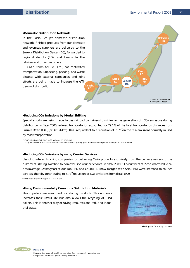## **•Domestic Distribution Network**

In the Casio Group's domestic distribution network, finished products from our domestic and overseas suppliers are delivered to the Suzuka Distribution Center (DC), forwarded to regional depots (RD), and finally to the retailers and other customers.

 Casio Computer Co., Ltd., has contracted transportation, unpacking, packing, and waste disposal with external companies, and joint efforts are being made to increase the efficiency of distribution.



### **•Reducing CO2 Emissions by Modal Shifting**

Suzuka DC to RDs (5,803,812t-km). This is equivalent to a reduction of 707t  $\overline{1}$ on the CO2 emissions normally caused Special efforts are being made to use railroad containers to minimize the generation of CO<sub>2</sub> emissions during distribution. In fiscal 2000, railroad transportation accounted for 79.1% of the total transportation distances from by road transportation.

\*1: 5,803,812 t-km  $\times$  79.1  $\times$  48-6 g-C  $\times$  44÷ 12 707 -CO<sub>2</sub> Comparison of CO2 emissions based on data on domestic measures regarding global warming issues: 48g-C/t-km (vehicle) vs. 6g-C/t-km (railroad)

#### **•Reducing CO2 Emissions by using Courier Services**

services, thereby contributing to 3.7t<sup>\*2</sup> reduction of CO2 emissions from fiscal 1999. Use of chartered trucking companies for delivering Casio products exclusively from the delivery centers to the customers is being switched to non-exclusive courier services. In fiscal 2000, 11.5 numbers of 2-ton chartered vehicles (average 925km/year) at our Tobu RD and Chubu RD (now merged with Seibu RD) were switched to courier

\*2: 11.5 trucks×925km×2t×48g-C×44÷12 = 3.7t-CO2

#### **•Using Environmentally Conscious Distribution Materials**

Plastic pallets are now used for storing products. This not only increases their useful life but also allows the recycling of used pallets. This is another way of saving resources and reducing industrial waste.



Plastic pallet for storing products

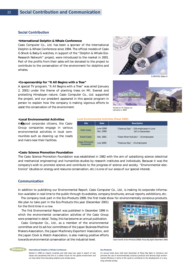# **Social Contribution**

#### **•International Dolphin & Whale Conference**

Casio Computer Co., Ltd. has been a sponsor of the International Dolphin & Whale Conference since 1994. The official models of Casio G-Shock & Baby-G watches, in support of the "Dolphin & Whale Eco-Research Network" project, were introduced to the market in 2001. Part of the profits from their sales will be donated to the project to contribute to the conservation of the environment for dolphins and whales.

# **•Co-sponsorship for "It All Begins with a Tree"**

A special TV program, "It All Begins with a Tree" was aired (January 2, 2001) under the theme of planting trees on Mt. Everest and protecting Himalayan nature. Casio Computer Co., Ltd. supported the project, and our president appeared in this special program in person to explain how the company is making vigorous efforts to assist the conservation of the environment.

#### **Local Environmental Activities (Fiscal 2000)**

| <b>Site</b>                         | Date                   | <b>Description</b>                                       |
|-------------------------------------|------------------------|----------------------------------------------------------|
| <b>Kofu Casio</b>                   | June 2000<br>Dec. 2000 | "Cleanup Day" - 154 employees in June<br>147 in December |
| Kochi Casio                         | Feb. 2001              | "Clean River Kokubu" - 33 employees                      |
| <b>Casio Micronics</b><br>Yamanashi | <b>July 2000</b>       | "Cleanup Day" - 15 employees                             |

#### **•Casio Science Promotion Foundation**

**•Local Environmental Activities** As good corporate citizens, the Casio Group companies engage in various environmental activities in local communities such as cleaning up the roads

and rivers near their facilities.

The Casio Science Promotion Foundation was established in 1982 with the aim of subsidizing science (electrical and mechanical engineering) and humanities studies by research institutes and individuals. Because it was the company's wish to promote science and contribute to the progress of science and society. "Environmental electronics" (studies on energy and resource conservation, etc.) is one of our areas of our special interest.

## **Communication**

**Glossary International Dolphin & Whale Conference** 

In addition to publishing our Environmental Report, Casio Computer Co., Ltd., is making its corporate information available in real time to the public through its websites, company brochures, annual reports, exhibitions, etc.

 The company took part in the Eco-Products 1999, the first trade show for environmentally conscious products. We plan to take part in the Eco-Products this year (December 2001) for the third time in a row.

 The first Environmental Report was published in December 1999 in which the environmental conservation activities of the Casio Group were presented in detail. Today, this has become an annual publication.

 Casio Computer Co., Ltd., as a member of the environmental committee and its ad-hoc committees of the Japan Business Machine Makers Association, the Japan Machinery Exporters' Association, and the Japan Clock & Watch Association, is also making positive efforts towards environmental conservation at the industrial level.

Casio's booth at Eco-Products 2000at Tokyo Big Sight (December 2000)

#### **Eco-Products**

Started in 1988 by I-Search Australia and held every two years in search of new values and awareness that link to a better future for the global environment and our lives rather than discussing dolphins and whales alone.





An annual trade show held each December at Tokyo Big Sight to introduce and promote the use of environmentally conscious products and services (high environmental efficiency in terms of life cycle) to contribute to the development of a recycling-oriented society.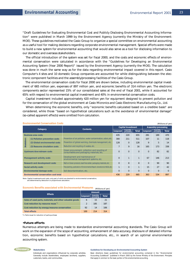(Millions of yen)

"Draft Guidelines for Evaluating Environmental Cost and Publicly Disclosing Environmental Accounting Information" were published in March 1999 by the Environment Agency (currently the Ministry of the Environment: MOE). These guidelines motivated the Casio Group to organize a special committee on environmental accounting as a useful tool for making decisions regarding corporate environmental management. Special efforts were made to build a new system for environmental accounting that would also serve as a tool for disclosing information to our domestic and overseas stakeholders.

 The official introduction of the system was set for fiscal 2000, and the costs and economic effects of environmental conservation were calculated in accordance with the "Guidelines for Developing an Environmental Accounting System (Year 2000 Report)" issued by the Environment Agency (currently the MOE). The calculation was done in much the same way as for the data regarding environmental impact covered in this report. Casio Computer's 4 sites and 10 domestic Group companies are accounted for while distinguishing between the electronic component facilities and the assembly/processing facilities of the Casio Group.

 The environmental conservation costs for fiscal 2000 are shown below, including environmental capital investment of 665 million yen, expenses of 897 million yen, and economic benefits of 314 million yen. The electronic components sector represented 15% of our consolidated sales at the end of fiscal 2001, while it accounted for 65% with respect to environmental capital investment and 40% in environmental conservation costs.

 Capital investment included approximately 420 million yen for equipment designed to prevent pollution and for the conservation of the global environment at Casio Micronics and Casio Electronic Manufacturing Co., Ltd.

When determining the economic benefits, only "economic benefits calculated based on a credible basis" are considered, while those "based on hypothetical calculations such as the avoidance of environmental damage" (so-called apparent effects) were omitted from calculation.

|                                   |                                       |                                                                                             |              | <b>Capital Investment</b> |              | Assembly/processing |                         |              |
|-----------------------------------|---------------------------------------|---------------------------------------------------------------------------------------------|--------------|---------------------------|--------------|---------------------|-------------------------|--------------|
|                                   | Category                              | <b>Contents</b>                                                                             | Component    | Assembly,<br>processing   | <b>Total</b> | Component           | Assembly,<br>processing | <b>Total</b> |
| <b>Business area costs</b>        |                                       |                                                                                             | 435          | 220                       | 655          | 281                 | 189                     | 470          |
|                                   | (1) Pollution prevention costs        | Prevention of air pollution, water contamination, odors, etc.                               | 300          | 211                       | 511          | 107                 | 11                      | 118          |
| Breakdown                         | (2) Global environmental costs        | Prevention of global warming, chemicals management, etc.                                    | 128          | $\Omega$                  | 128          | 9                   | 5                       | 14           |
|                                   | (3) Resource circulation costs        | Reduction and recycling of wastes, etc.                                                     | 7            | 9                         | 16           | 165                 | 173                     | 338          |
| Upstream/downstream costs         |                                       | Green procurement, collection and recycling of<br>consumables and packaging materials, etc. | $\Omega$     | $\Omega$                  | $\Omega$     | $\Omega$            | 82                      | 82           |
|                                   | <b>Management activity costs</b>      | Development and maintenance of<br>environmental management systems, etc.                    | $\mathbf 0$  | $\mathbf{1}$              | $\mathbf{1}$ | 67                  | 146                     | 213          |
|                                   | <b>Research and development costs</b> | R&D on Green products, lead-free solder, packaging materials, etc.                          | $\mathbf 0$  | 8                         | 8            | $\Omega$            | 90                      | 90           |
| Social activity costs             |                                       | Tree planting, publication of Environmental Report, donations to NGOs, etc.                 | $\mathbf{1}$ | $\Omega$                  | $\mathbf{1}$ | 15                  | 27                      | 42           |
| <b>Environmental damage costs</b> |                                       | Soil decontamination, etc.                                                                  | $\Omega$     | $\Omega$                  | $\Omega$     | $\Omega$            | $\Omega$                | $\Omega$     |
|                                   | Environmental conservation cost total |                                                                                             | 436          | 229                       | 665          | 363                 | 534                     | 897          |

#### **Environmental Conservation Costs**

Note: Capital investments and costs, only part of which are devoted to environmental conservation,

are determined by deduction or proportional calculation.

#### (Millions of yen) **Economic Benefits associated with Environmental Measures**

| <b>Effects</b>                                           | Amount         |                         |              |  |  |
|----------------------------------------------------------|----------------|-------------------------|--------------|--|--|
|                                                          | Component      | Assembly,<br>processing | <b>Total</b> |  |  |
| Sales of used parts, materials, and other valuable goods | 6              | 15                      | 21           |  |  |
| Cost reduction by resource reuse <sup>*1</sup>           | $\overline{2}$ | 185                     | 187          |  |  |
| Cost reduction by energy/resource conservation           | 92             | 14                      | 106          |  |  |
| <b>Total effects</b>                                     | 100            | 214                     | 314          |  |  |

\*1: Parts reuse for reduction of parts purchase

# **•Future efforts**

Numerous attempts are being made to standardize environmental accounting standards. The Casio Group will work on the expansion of the scope of accounting, enhancement of data accuracy, disclosure of detailed information, economic benefits based on hypothetical calculations, etc., in search of an optimal environmental accounting system.



Individuals and organizations influenced by corporate activities. Generally include shareholders, employees (workers), suppliers, customers, banks, and communities.

**Guidelines for Developing an Environmental Accounting System**

Basic directions (basic guidelines) for environmental accounting contained in the "Environmental Accounting Guidebook" published in March 2000 by the former Ministry of the Environment. Principles that apply in common to the basic portion of the environmental accounting.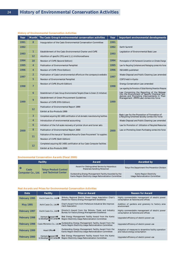| Year | <b>Month</b>   | The Casio Group's environmental conservation activities                              | Year | Important environmental developments                                                                                                                                                   |  |
|------|----------------|--------------------------------------------------------------------------------------|------|----------------------------------------------------------------------------------------------------------------------------------------------------------------------------------------|--|
| 1991 | 8              | Inauguration of the Casio Environmental Conservation Committee                       | 1991 |                                                                                                                                                                                        |  |
| 1992 |                |                                                                                      | 1992 | Earth Summit                                                                                                                                                                           |  |
| 1993 | 1              | Establishment of the Casio Environmental Charter and CVPE                            | 1993 | Legislation of Environmental Basic Law                                                                                                                                                 |  |
|      | 12             | Abolition of specific CFCs and 1.1.1-trichloroethane                                 |      |                                                                                                                                                                                        |  |
| 1994 | 10             | Revision of CVPE (Second Edition)                                                    | 1994 | Promulgation of UN Framework Convention on Climate Change                                                                                                                              |  |
| 1995 | 4              | Publication of Environmental Pamphlet                                                | 1995 | Law for Recycling Containers and Packaging comes into force                                                                                                                            |  |
| 1996 | 4              | Revision of CVPE (Third Edition)                                                     | 1996 | ISO14001 published                                                                                                                                                                     |  |
| 1997 | $\overline{2}$ | Publication of Casio's environmental efforts on the company's website                | 1997 | Waste Disposal and Public Cleaning Law amended                                                                                                                                         |  |
|      | 5              | Revision of Environmental Pamphlet                                                   |      | COP3 held in Kyoto                                                                                                                                                                     |  |
| 1998 | $\overline{7}$ | Revision of CVPE (Fourth Edition)                                                    |      | <b>Energy Conservation Law amended</b>                                                                                                                                                 |  |
|      |                |                                                                                      | 1998 | Law regarding the Promotion of Global Warming Prevention Measures                                                                                                                      |  |
|      | 6              | Establishment of Casio Group Environmental Targets (Clean & Green 21 Initiative)     |      | Law Concerning the Reporting of the Release<br>into the Environment of Specific Chemical Sub-<br>stances and Promoting Improvements in Their<br>Management (PRTR Law) comes into force |  |
|      | 9              | Establishment of Green Procurement Guidelines                                        |      |                                                                                                                                                                                        |  |
| 1999 |                | Revision of CVPE (Fifth Edition)                                                     | 1999 |                                                                                                                                                                                        |  |
|      | 12             | Publication of Environmental Report 1999                                             |      |                                                                                                                                                                                        |  |
|      |                | Exhibit at Eco-Products 1999                                                         |      |                                                                                                                                                                                        |  |
|      | 3              | Completed acquiring ISO 14001 certification of all domestic manufacturing facilities |      | Basic Law for the Promotion of Formation of<br>a Recycling-Oriented Society comes into force                                                                                           |  |
| 2000 | $\overline{4}$ | Introduction of environmental accounting                                             |      | Waste Disposal and Public Cleaning Law amended                                                                                                                                         |  |
|      | 6              | Initiation of the full-scale recovery of printer drum and toner sets                 |      | Law for Promotion of Utilization of Recycled Resources                                                                                                                                 |  |
|      | 8              | Publication of Environmental Report 2000                                             | 2000 | Law on Promoting Green Purchasing comes into force                                                                                                                                     |  |
|      | 11             | Publication of the manual of "Standards Manual for Green Procurement" for suppliers  |      |                                                                                                                                                                                        |  |
|      |                | Revision of CVPE (Sixth Edition)                                                     |      |                                                                                                                                                                                        |  |
|      | 12             | Completed acquiring ISO 14001 certification at four Casio Computer facilities        |      |                                                                                                                                                                                        |  |
|      |                | Exhibit at Eco-Products 2000                                                         |      |                                                                                                                                                                                        |  |

# **History of Environmental Conservation Activities**

#### **Environmental Conservation Awards (Fiscal 2000)**

| Facility           |                                                      | Award                                                                                                             | Awarded by                                                         |  |
|--------------------|------------------------------------------------------|-------------------------------------------------------------------------------------------------------------------|--------------------------------------------------------------------|--|
| Casio              | <b>Tokyo Product Control</b><br>and Technical Center | Award for Distinguished Service by Hazardous<br>Materials Handling Personnel                                      | Tokyo Fire Department Fire Prevention Division                     |  |
| Computer Co., Ltd. |                                                      | Outstanding Energy Management Facility Awarded by the<br>Kanto Region Electricity Usage Rationalization Committee | Kanto Region Electricity<br><b>Usage Rationalization Committee</b> |  |

#### **Past Awards and Prizes for Environmental Conservation Activities**

| Date            | <b>Facility</b>                         | <b>Prize or Award</b>                                                                                             | <b>Reason for Award</b>                                                                 |
|-----------------|-----------------------------------------|-------------------------------------------------------------------------------------------------------------------|-----------------------------------------------------------------------------------------|
| February 1995   | Kochi Casio Co., Ltd.                   | Shikoku Regional Electric Power Usage Association Chair's<br>Award for Factory Energy Management Excellence       | Highly commendable management of electric power<br>consumption at factories and offices |
| <b>May 1995</b> | Aichi Casio Co., Ltd.                   | Chair's Award from Aichi Prefecture Industrial Site Improve-<br>ment Association                                  | Addition of gardens and greenery to factory area<br>environment                         |
| February 1997   | Kochi Casio Co., Ltd.                   | Director's Award from the Shikoku Trade and Industry<br>Bureau for Factory Energy Management Excellence           | Highly commendable management of electric power<br>consumption at factories and offices |
| February 1998   | Hamura Research<br>& Development Center | Best Energy Management Facility Award from the Kanto<br>Region Electricity Usage Rationalization Committee        | Upgraded efficiency of electric power use                                               |
| February 1998   | Casio Micronics Co., Ltd.               | Outstanding Energy Management Facility Award from the<br>Kanto Region Electricity Usage Rationalization Committee | Upgraded efficiency of electric power use                                               |
| February 1999   | <b>Head Office</b>                      | Outstanding Energy Management Facility Award from the<br>Kanto Region Electricity Usage Rationalization Committee | Adoption of measures to streamline facility operation<br>and reduce energy consumption  |
| February 2000   | Hamura Research<br>& Development Center | Best Energy Management Facility Award from the Kanto<br>Region Electricity Usage Rationalization Committee        | Upgraded efficiency of electric power use                                               |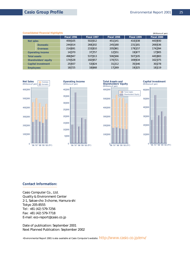|                           |                 |             |             |             |             | $\mu$       |
|---------------------------|-----------------|-------------|-------------|-------------|-------------|-------------|
|                           |                 | Fiscal 1996 | Fiscal 1997 | Fiscal 1998 | Fiscal 1999 | Fiscal 2000 |
| Net sales                 |                 | 459 105     | 502 012     | 451 141     | 410 338     | 443 930     |
|                           | <b>Domestic</b> | 244 414     | 268 202     | 245 180     | 231 181     | 269 536     |
|                           | <b>Overseas</b> | 214 691     | 233 810     | 205 961     | 179 157     | 174 394     |
| <b>Operating income</b>   |                 | 14 370      | 37 757      | 12 551      | 19 477      | 17 905      |
| <b>Total assets</b>       |                 | 496 947     | 537 013     | 506 566     | 507 105     | 445 883     |
| Shareholders' equity      |                 | 174 528     | 182 657     | 170 721     | 169 634     | 162 375     |
| <b>Capital investment</b> |                 | 25 937      | 53 824      | 31 212      | 35 546      | 30 278      |
| <b>Employees</b>          |                 | 18 725      | 18 6 68     | 17 269      | 19 3 25     | 18 119      |













# **Contact Information:**

Casio Computer Co., Ltd. Quality & Environment Center 2-1, Sakae-cho 3-chome, Hamura-shi Tokyo 205-8555 Tel: +81 (42) 579-7256 Fax: +81 (42) 579-7718 +81 (42) 579-7718E-mail: eco-report@casio.co.jp

Date of publication: September 2001 Next Planned Publication: September 2002

•Environmental Report 2001 is also available at Casio Computer's website: http://www.casio.co.jp/env/